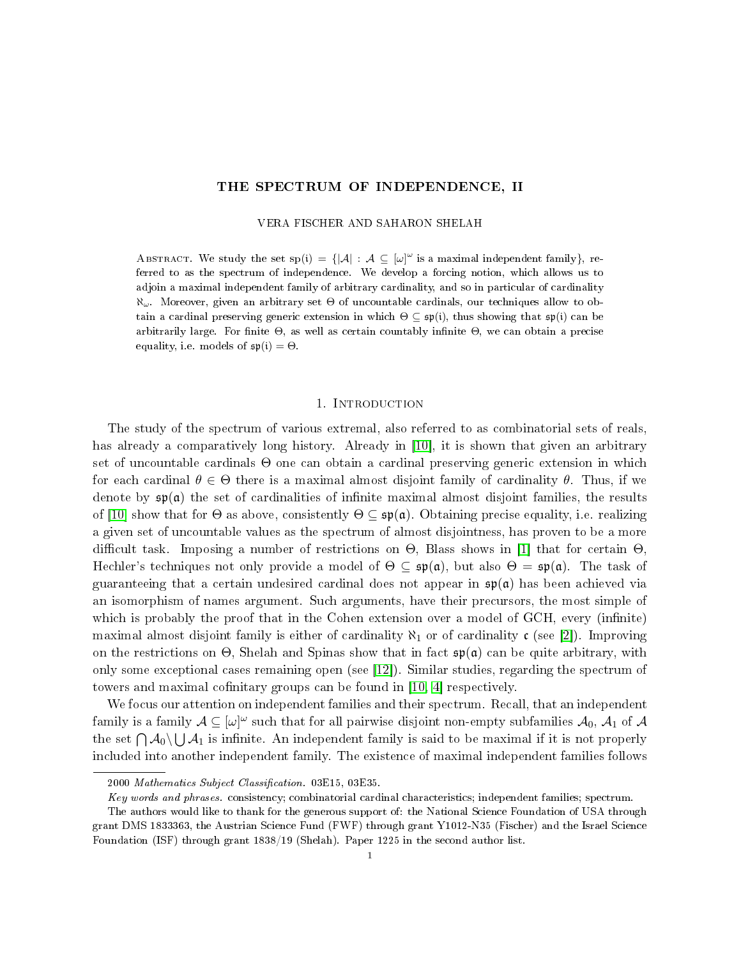# THE SPECTRUM OF INDEPENDENCE, II

VERA FISCHER AND SAHARON SHELAH

ABSTRACT. We study the set  $sp(i) = {|\mathcal{A}| : \mathcal{A} \subseteq [\omega]^{\omega}}$  is a maximal independent family}, referred to as the spectrum of independence. We develop a forcing notion, which allows us to adjoin a maximal independent family of arbitrary cardinality, and so in particular of cardinality  $\aleph_{\omega}$ . Moreover, given an arbitrary set  $\Theta$  of uncountable cardinals, our techniques allow to obtain a cardinal preserving generic extension in which  $\Theta \subseteq \mathfrak{sp}(i)$ , thus showing that  $\mathfrak{sp}(i)$  can be arbitrarily large. For finite  $\Theta$ , as well as certain countably infinite  $\Theta$ , we can obtain a precise equality, i.e. models of  $\mathfrak{sp}(\mathfrak{i}) = \Theta$ .

### 1. Introduction

The study of the spectrum of various extremal, also referred to as combinatorial sets of reals, has already a comparatively long history. Already in [\[10\]](#page-8-0), it is shown that given an arbitrary set of uncountable cardinals Θ one can obtain a cardinal preserving generic extension in which for each cardinal  $\theta \in \Theta$  there is a maximal almost disjoint family of cardinality  $\theta$ . Thus, if we denote by  $\mathfrak{sp}(\mathfrak{a})$  the set of cardinalities of infinite maximal almost disjoint families, the results of [\[10\]](#page-8-0) show that for  $\Theta$  as above, consistently  $\Theta \subseteq \mathfrak{sp}(\mathfrak{a})$ . Obtaining precise equality, i.e. realizing a given set of uncountable values as the spectrum of almost disjointness, has proven to be a more difficult task. Imposing a number of restrictions on  $\Theta$ , Blass shows in [\[1\]](#page-8-1) that for certain  $\Theta$ , Hechler's techniques not only provide a model of  $\Theta \subseteq \mathfrak{sp}(\mathfrak{a})$ , but also  $\Theta = \mathfrak{sp}(\mathfrak{a})$ . The task of guaranteeing that a certain undesired cardinal does not appear in  $\mathfrak{sp}(\mathfrak{a})$  has been achieved via an isomorphism of names argument. Such arguments, have their precursors, the most simple of which is probably the proof that in the Cohen extension over a model of GCH, every (infinite) maximal almost disjoint family is either of cardinality  $\aleph_1$  or of cardinality c (see [\[2\]](#page-8-2)). Improving on the restrictions on  $\Theta$ , Shelah and Spinas show that in fact  $\mathfrak{sp}(\mathfrak{a})$  can be quite arbitrary, with only some exceptional cases remaining open (see [\[12\]](#page-8-3)). Similar studies, regarding the spectrum of towers and maximal cofinitary groups can be found in [\[10,](#page-8-0) [4\]](#page-8-4) respectively.

We focus our attention on independent families and their spectrum. Recall, that an independent family is a family  $\mathcal A\subseteq[\omega]^\omega$  such that for all pairwise disjoint non-empty subfamilies  $\mathcal A_0,\,\mathcal A_1$  of  $\mathcal A$ the set  $\bigcap A_0 \setminus \bigcup A_1$  is infinite. An independent family is said to be maximal if it is not properly included into another independent family. The existence of maximal independent families follows

<sup>2000</sup> Mathematics Subject Classification. 03E15, 03E35.

Key words and phrases. consistency; combinatorial cardinal characteristics; independent families; spectrum.

The authors would like to thank for the generous support of: the National Science Foundation of USA through grant DMS 1833363, the Austrian Science Fund (FWF) through grant Y1012-N35 (Fischer) and the Israel Science Foundation (ISF) through grant 1838/19 (Shelah). Paper 1225 in the second author list.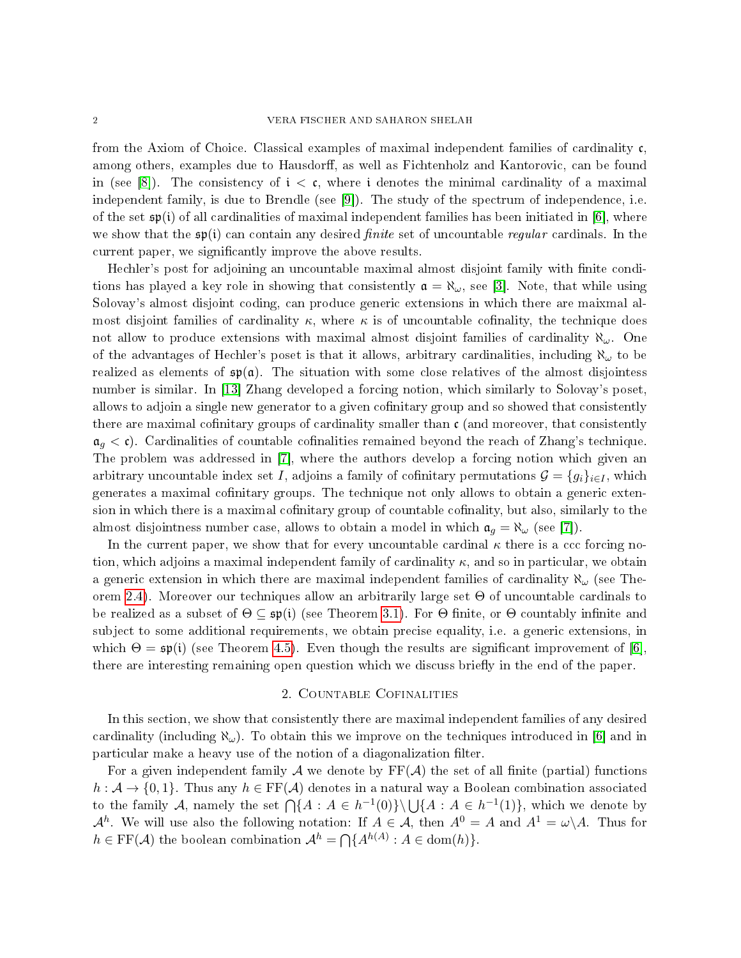from the Axiom of Choice. Classical examples of maximal independent families of cardinality  $\mathfrak{c}$ . among others, examples due to Hausdorff, as well as Fichtenholz and Kantorovic, can be found in (see [\[8\]](#page-8-5)). The consistency of  $i < \mathfrak{c}$ , where i denotes the minimal cardinality of a maximal independent family, is due to Brendle (see [\[9\]](#page-8-6)). The study of the spectrum of independence, i.e. of the set  $\mathfrak{sp}(i)$  of all cardinalities of maximal independent families has been initiated in [\[6\]](#page-8-7), where we show that the  $\mathfrak{sp}(i)$  can contain any desired *finite* set of uncountable *regular* cardinals. In the current paper, we significantly improve the above results.

Hechler's post for adjoining an uncountable maximal almost disjoint family with finite conditions has played a key role in showing that consistently  $\mathfrak{a} = \aleph_{\omega}$ , see [\[3\]](#page-8-8). Note, that while using Solovay's almost disjoint coding, can produce generic extensions in which there are maixmal almost disjoint families of cardinality  $\kappa$ , where  $\kappa$  is of uncountable cofinality, the technique does not allow to produce extensions with maximal almost disjoint families of cardinality  $\aleph_{\omega}$ . One of the advantages of Hechler's poset is that it allows, arbitrary cardinalities, including  $\aleph_{\omega}$  to be realized as elements of  $\mathfrak{sp}(\mathfrak{a})$ . The situation with some close relatives of the almost disjointess number is similar. In [\[13\]](#page-8-9) Zhang developed a forcing notion, which similarly to Solovay's poset, allows to adjoin a single new generator to a given cofinitary group and so showed that consistently there are maximal cofinitary groups of cardinality smaller than  $c$  (and moreover, that consistently  $a<sub>g</sub> < c$ ). Cardinalities of countable cofinalities remained beyond the reach of Zhang's technique. The problem was addressed in [\[7\]](#page-8-10), where the authors develop a forcing notion which given an arbitrary uncountable index set I, adjoins a family of cofinitary permutations  $\mathcal{G} = \{g_i\}_{i\in I}$ , which generates a maximal cofinitary groups. The technique not only allows to obtain a generic extension in which there is a maximal cofinitary group of countable cofinality, but also, similarly to the almost disjointness number case, allows to obtain a model in which  $\mathfrak{a}_q = \aleph_\omega$  (see [\[7\]](#page-8-10)).

In the current paper, we show that for every uncountable cardinal  $\kappa$  there is a ccc forcing notion, which adjoins a maximal independent family of cardinality  $\kappa$ , and so in particular, we obtain a generic extension in which there are maximal independent families of cardinality  $\aleph_{\omega}$  (see Theorem [2.4\)](#page-3-0). Moreover our techniques allow an arbitrarily large set Θ of uncountable cardinals to be realized as a subset of  $\Theta \subseteq \mathfrak{sp}(\mathfrak{i})$  (see Theorem [3.1\)](#page-3-1). For  $\Theta$  finite, or  $\Theta$  countably infinite and subject to some additional requirements, we obtain precise equality, i.e. a generic extensions, in which  $\Theta = \mathfrak{sp}(i)$  (see Theorem [4.5\)](#page-6-0). Even though the results are significant improvement of [\[6\]](#page-8-7). there are interesting remaining open question which we discuss briefly in the end of the paper.

## 2. Countable Cofinalities

In this section, we show that consistently there are maximal independent families of any desired cardinality (including  $\aleph_{\omega}$ ). To obtain this we improve on the techniques introduced in [\[6\]](#page-8-7) and in particular make a heavy use of the notion of a diagonalization filter.

For a given independent family A we denote by  $FF(\mathcal{A})$  the set of all finite (partial) functions  $h : \mathcal{A} \to \{0,1\}$ . Thus any  $h \in FF(\mathcal{A})$  denotes in a natural way a Boolean combination associated to the family A, namely the set  $\bigcap \{A : A \in h^{-1}(0)\} \setminus \bigcup \{A : A \in h^{-1}(1)\},\$  which we denote by  $\mathcal{A}^h$ . We will use also the following notation: If  $A \in \mathcal{A}$ , then  $A^0 = A$  and  $A^1 = \omega \backslash A$ . Thus for  $h \in \mathrm{FF}(\mathcal{A})$  the boolean combination  $\mathcal{A}^h = \bigcap \{A^{h(A)} : A \in \mathrm{dom}(h)\}.$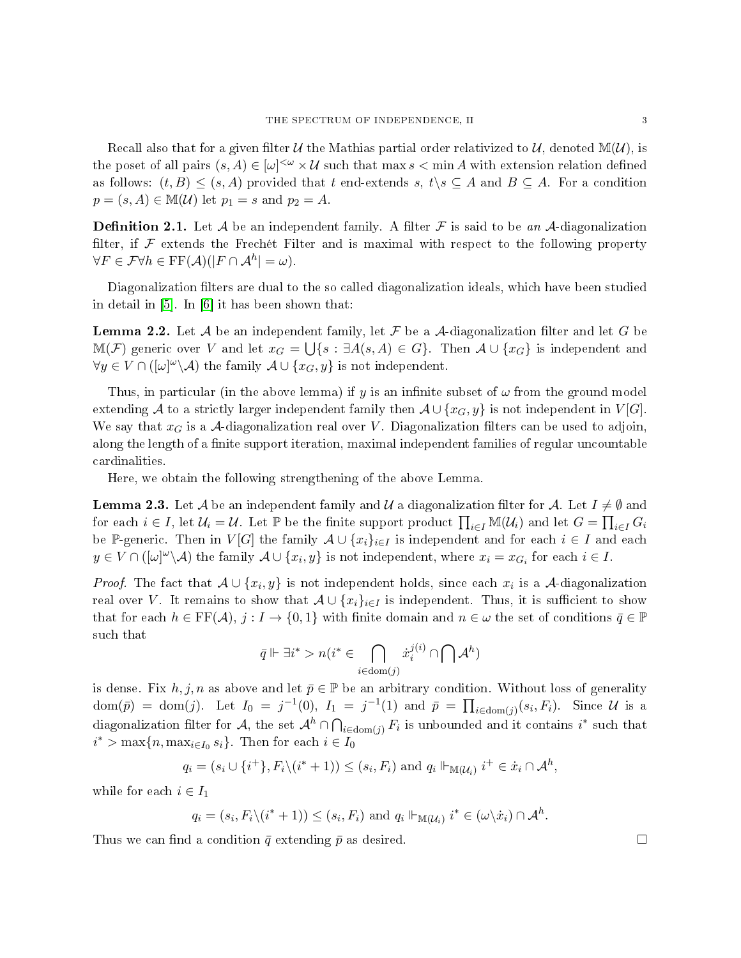Recall also that for a given filter U the Mathias partial order relativized to U, denoted  $\mathbb{M}(\mathcal{U})$ , is the poset of all pairs  $(s, A) \in [\omega]^{<\omega} \times U$  such that max  $s < \min A$  with extension relation defined as follows:  $(t, B) \leq (s, A)$  provided that t end-extends s,  $t \ s \subseteq A$  and  $B \subseteq A$ . For a condition  $p = (s, A) \in M(\mathcal{U})$  let  $p_1 = s$  and  $p_2 = A$ .

**Definition 2.1.** Let  $\mathcal A$  be an independent family. A filter  $\mathcal F$  is said to be an  $\mathcal A$ -diagonalization filter, if  $\mathcal F$  extends the Frechét Filter and is maximal with respect to the following property  $\forall F \in \mathcal{F} \forall h \in \mathrm{FF}(\mathcal{A})(|F \cap \mathcal{A}^h| = \omega).$ 

Diagonalization filters are dual to the so called diagonalization ideals, which have been studied in detail in [\[5\]](#page-8-11). In [\[6\]](#page-8-7) it has been shown that:

**Lemma 2.2.** Let A be an independent family, let F be a A-diagonalization filter and let G be  $\mathbb{M}(\mathcal{F})$  generic over V and let  $x_G = \bigcup \{s : \exists A(s, A) \in G\}$ . Then  $\mathcal{A} \cup \{x_G\}$  is independent and  $\forall y \in V \cap ([\omega]^\omega \backslash \mathcal{A})$  the family  $\mathcal{A} \cup \{x_G, y\}$  is not independent.

Thus, in particular (in the above lemma) if y is an infinite subset of  $\omega$  from the ground model extending A to a strictly larger independent family then  $A \cup \{x_G, y\}$  is not independent in  $V[G]$ . We say that  $x_G$  is a A-diagonalization real over V. Diagonalization filters can be used to adjoin, along the length of a finite support iteration, maximal independent families of regular uncountable cardinalities.

Here, we obtain the following strengthening of the above Lemma.

**Lemma 2.3.** Let A be an independent family and U a diagonalization filter for A. Let  $I \neq \emptyset$  and for each  $i \in I$ , let  $\mathcal{U}_i = \mathcal{U}$ . Let  $\mathbb{P}$  be the finite support product  $\prod_{i \in I} \mathbb{M}(\mathcal{U}_i)$  and let  $G = \prod_{i \in I} G_i$ be P-generic. Then in  $V[G]$  the family  $A \cup \{x_i\}_{i \in I}$  is independent and for each  $i \in I$  and each  $y \in V \cap ([\omega]^\omega \backslash \mathcal{A})$  the family  $\mathcal{A} \cup \{x_i, y\}$  is not independent, where  $x_i = x_{G_i}$  for each  $i \in I$ .

*Proof.* The fact that  $A \cup \{x_i, y\}$  is not independent holds, since each  $x_i$  is a A-diagonalization real over V. It remains to show that  $A \cup \{x_i\}_{i\in I}$  is independent. Thus, it is sufficient to show that for each  $h \in FF(\mathcal{A}), j: I \to \{0,1\}$  with finite domain and  $n \in \omega$  the set of conditions  $\bar{q} \in \mathbb{P}$ such that

$$
\bar{q} \Vdash \exists i^* > n (i^* \in \bigcap_{i \in \text{dom}(j)} \dot{x}_i^{j(i)} \cap \bigcap \mathcal{A}^h)
$$

is dense. Fix  $h, j, n$  as above and let  $\bar{p} \in \mathbb{P}$  be an arbitrary condition. Without loss of generality  $dom(\bar{p}) = dom(j)$ . Let  $I_0 = j^{-1}(0)$ ,  $I_1 = j^{-1}(1)$  and  $\bar{p} = \prod_{i \in dom(j)}(s_i, F_i)$ . Since U is a diagonalization filter for A, the set  $\mathcal{A}^h \cap \bigcap_{i \in \text{dom}(j)} F_i$  is unbounded and it contains  $i^*$  such that  $i^*$  > max $\{n, \max_{i \in I_0} s_i\}$ . Then for each  $i \in I_0$ 

$$
q_i = (s_i \cup \{i^+\}, F_i \setminus (i^* + 1)) \le (s_i, F_i) \text{ and } q_i \Vdash_{\mathbb{M}(\mathcal{U}_i)} i^+ \in \dot{x}_i \cap \mathcal{A}^h,
$$

while for each  $i \in I_1$ 

$$
q_i = (s_i, F_i \setminus (i^* + 1)) \le (s_i, F_i)
$$
 and  $q_i \Vdash_{\mathbb{M}(\mathcal{U}_i)} i^* \in (\omega \setminus \dot{x}_i) \cap \mathcal{A}^h$ .

Thus we can find a condition  $\bar{q}$  extending  $\bar{p}$  as desired.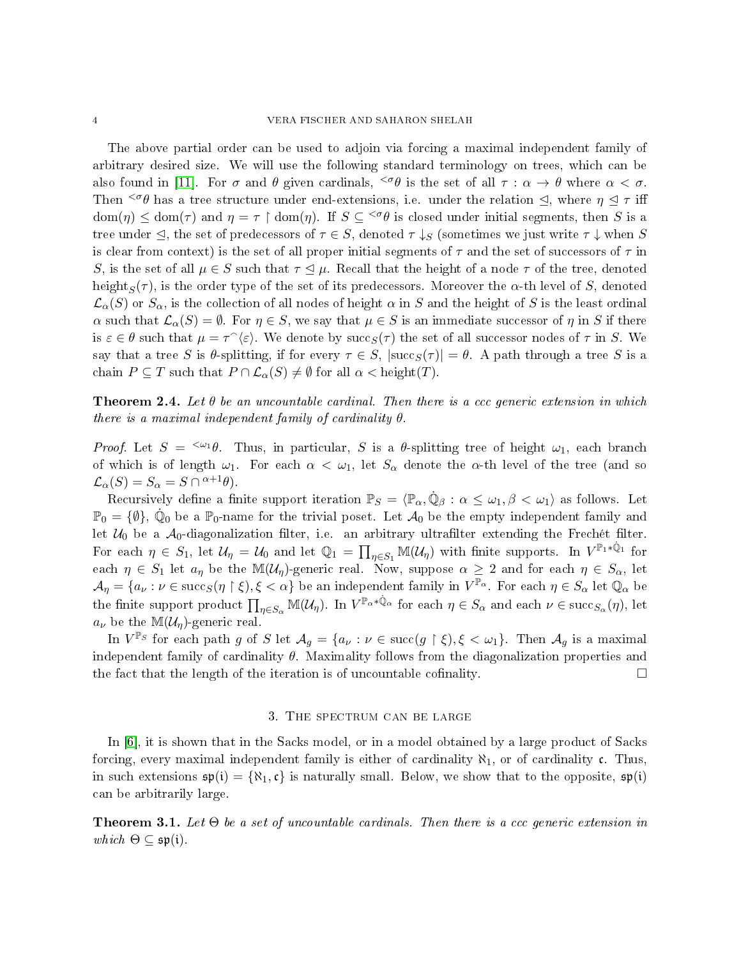The above partial order can be used to adjoin via forcing a maximal independent family of arbitrary desired size. We will use the following standard terminology on trees, which can be also found in [\[11\]](#page-8-12). For  $\sigma$  and  $\theta$  given cardinals,  $\leq \theta$  is the set of all  $\tau : \alpha \to \theta$  where  $\alpha < \sigma$ . Then  $\leq^{\sigma}\theta$  has a tree structure under end-extensions, i.e. under the relation  $\leq$ , where  $\eta \leq \tau$  iff  $dom(\eta) \leq dom(\tau)$  and  $\eta = \tau \restriction dom(\eta)$ . If  $S \subseteq \{0, \infty\}$  is closed under initial segments, then S is a tree under  $\leq$ , the set of predecessors of  $\tau \in S$ , denoted  $\tau \downarrow_S$  (sometimes we just write  $\tau \downarrow$  when S is clear from context) is the set of all proper initial segments of  $\tau$  and the set of successors of  $\tau$  in S, is the set of all  $\mu \in S$  such that  $\tau \leq \mu$ . Recall that the height of a node  $\tau$  of the tree, denoted height $_S(\tau),$  is the order type of the set of its predecessors. Moreover the  $\alpha$ -th level of  $S,$  denoted  $\mathcal{L}_{\alpha}(S)$  or  $S_{\alpha}$ , is the collection of all nodes of height  $\alpha$  in S and the height of S is the least ordinal  $\alpha$  such that  $\mathcal{L}_{\alpha}(S) = \emptyset$ . For  $\eta \in S$ , we say that  $\mu \in S$  is an immediate successor of  $\eta$  in S if there is  $\varepsilon \in \theta$  such that  $\mu = \tau^\wedge \langle \varepsilon \rangle$ . We denote by succs $(\tau)$  the set of all successor nodes of  $\tau$  in S. We say that a tree S is  $\theta$ -splitting, if for every  $\tau \in S$ ,  $|succ(s(\tau)| = \theta$ . A path through a tree S is a chain  $P \subseteq T$  such that  $P \cap \mathcal{L}_{\alpha}(S) \neq \emptyset$  for all  $\alpha < \text{height}(T)$ .

<span id="page-3-0"></span>**Theorem 2.4.** Let  $\theta$  be an uncountable cardinal. Then there is a ccc generic extension in which there is a maximal independent family of cardinality  $\theta$ .

*Proof.* Let  $S = \langle \omega_1 \theta \rangle$ . Thus, in particular, S is a  $\theta$ -splitting tree of height  $\omega_1$ , each branch of which is of length  $\omega_1$ . For each  $\alpha < \omega_1$ , let  $S_\alpha$  denote the  $\alpha$ -th level of the tree (and so  $\mathcal{L}_{\alpha}(S) = S_{\alpha} = S \cap {\alpha + 1}\theta.$ 

Recursively define a finite support iteration  $\mathbb{P}_S = \langle \mathbb{P}_\alpha, \dot{\mathbb{Q}}_\beta : \alpha \leq \omega_1, \beta < \omega_1 \rangle$  as follows. Let  $\mathbb{P}_0 = \{\emptyset\}, \dot{\mathbb{Q}}_0$  be a  $\mathbb{P}_0$ -name for the trivial poset. Let  $\mathcal{A}_0$  be the empty independent family and let  $U_0$  be a  $A_0$ -diagonalization filter, i.e. an arbitrary ultrafilter extending the Frechét filter. For each  $\eta \in S_1$ , let  $\mathcal{U}_{\eta} = \mathcal{U}_0$  and let  $\mathbb{Q}_1 = \prod_{\eta \in S_1} \mathbb{M}(\mathcal{U}_{\eta})$  with finite supports. In  $V^{\mathbb{P}_1 * \mathbb{Q}_1}$  for each  $\eta \in S_1$  let  $a_{\eta}$  be the M( $\mathcal{U}_{\eta}$ )-generic real. Now, suppose  $\alpha \geq 2$  and for each  $\eta \in S_{\alpha}$ , let  $\mathcal{A}_{\eta} = \{a_{\nu} : \nu \in \mathrm{succ}_S(\eta \restriction \xi), \xi < \alpha\}$  be an independent family in  $V^{\mathbb{P}_{\alpha}}$ . For each  $\eta \in S_{\alpha}$  let  $\mathbb{Q}_{\alpha}$  be the finite support product  $\prod_{\eta \in S_\alpha} \mathbb{M}(\mathcal{U}_\eta)$ . In  $V^{\mathbb{P}_\alpha * \hat{\mathbb{Q}}_\alpha}$  for each  $\eta \in S_\alpha$  and each  $\nu \in \text{succ}_{S_\alpha}(\eta)$ , let  $a_{\nu}$  be the M( $\mathcal{U}_n$ )-generic real.

In  $V^{\mathbb{P}_S}$  for each path g of S let  $\mathcal{A}_g = \{a_\nu : \nu \in \text{succ}(g \upharpoonright \xi), \xi < \omega_1\}$ . Then  $\mathcal{A}_g$  is a maximal independent family of cardinality  $\theta$ . Maximality follows from the diagonalization properties and the fact that the length of the iteration is of uncountable cofinality.

## 3. The spectrum can be large

In [\[6\]](#page-8-7), it is shown that in the Sacks model, or in a model obtained by a large product of Sacks forcing, every maximal independent family is either of cardinality  $\aleph_1$ , or of cardinality c. Thus, in such extensions  $\mathfrak{sp}(\mathfrak{i}) = \{\aleph_1, \mathfrak{c}\}\)$  is naturally small. Below, we show that to the opposite,  $\mathfrak{sp}(\mathfrak{i})$ can be arbitrarily large.

<span id="page-3-1"></span>**Theorem 3.1.** Let  $\Theta$  be a set of uncountable cardinals. Then there is a ccc generic extension in which  $\Theta \subseteq \mathfrak{sp}(\mathfrak{i})$ .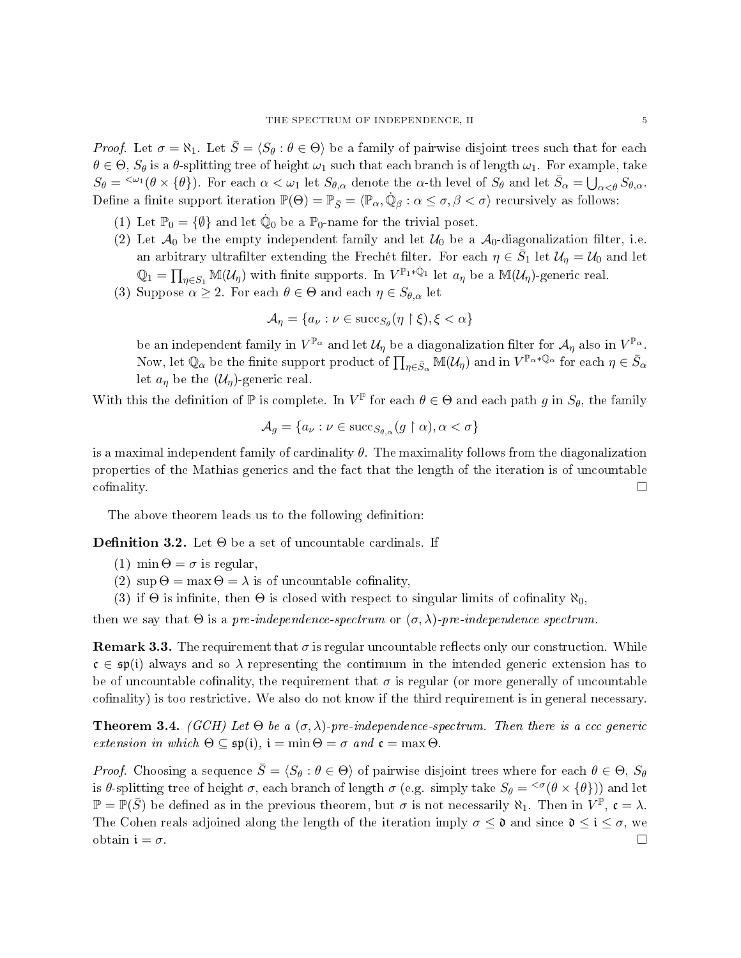*Proof.* Let  $\sigma = \aleph_1$ . Let  $\bar{S} = \langle S_\theta : \theta \in \Theta \rangle$  be a family of pairwise disjoint trees such that for each  $\theta \in \Theta$ ,  $S_{\theta}$  is a  $\theta$ -splitting tree of height  $\omega_1$  such that each branch is of length  $\omega_1$ . For example, take  $S_{\theta} = \langle \omega_1(\theta \times \{\theta\}) \rangle$ . For each  $\alpha < \omega_1$  let  $S_{\theta,\alpha}$  denote the  $\alpha$ -th level of  $S_{\theta}$  and let  $\bar{S}_{\alpha} = \bigcup_{\alpha < \theta} S_{\theta,\alpha}$ . Define a finite support iteration  $\mathbb{P}(\Theta) = \mathbb{P}_{\bar{S}} = \langle \mathbb{P}_{\alpha}, \dot{\mathbb{Q}}_{\beta} : \alpha \leq \sigma, \beta < \sigma \rangle$  recursively as follows:

- (1) Let  $\mathbb{P}_0 = \{\emptyset\}$  and let  $\dot{\mathbb{Q}}_0$  be a  $\mathbb{P}_0$ -name for the trivial poset.
- (2) Let  $\mathcal{A}_0$  be the empty independent family and let  $\mathcal{U}_0$  be a  $\mathcal{A}_0$ -diagonalization filter, i.e. an arbitrary ultrafilter extending the Frechét filter. For each  $\eta\in\bar{S}_1$  let  $\mathcal{U}_\eta=\mathcal{U}_0$  and let  $\mathbb{Q}_1 = \prod_{\eta \in S_1} \mathbb{M}(\mathcal{U}_{\eta})$  with finite supports. In  $V^{\mathbb{P}_1 * \dot{\mathbb{Q}}_1}$  let  $a_{\eta}$  be a  $\mathbb{M}(\mathcal{U}_{\eta})$ -generic real.
- (3) Suppose  $\alpha \geq 2$ . For each  $\theta \in \Theta$  and each  $\eta \in S_{\theta,\alpha}$  let

$$
\mathcal{A}_{\eta} = \{ a_{\nu} : \nu \in \text{succ}_{S_{\theta}}(\eta \upharpoonright \xi), \xi < \alpha \}
$$

be an independent family in  $V^{\mathbb{P}_\alpha}$  and let  $\mathcal{U}_\eta$  be a diagonalization filter for  $\mathcal{A}_\eta$  also in  $V^{\mathbb{P}_\alpha}.$ Now, let  $\overline{\mathbb{Q}}_{\alpha}$  be the finite support product of  $\prod_{\eta \in \bar{S}_{\alpha}} \overline{\mathbb{M}}(\mathcal{U}_{\eta})$  and in  $V^{\mathbb{P}_{\alpha} * \mathbb{Q}_{\alpha}}$  for each  $\eta \in \bar{S}_{\alpha}$ let  $a_n$  be the  $(\mathcal{U}_n)$ -generic real.

With this the definition of  $\mathbb P$  is complete. In  $V^{\mathbb P}$  for each  $\theta \in \Theta$  and each path g in  $S_{\theta}$ , the family

$$
\mathcal{A}_g = \{ a_\nu : \nu \in \text{succ}_{S_{\theta,\alpha}}(g \restriction \alpha), \alpha < \sigma \}
$$

is a maximal independent family of cardinality  $\theta$ . The maximality follows from the diagonalization properties of the Mathias generics and the fact that the length of the iteration is of uncountable  $\Box$ cofinality.

The above theorem leads us to the following definition:

**Definition 3.2.** Let  $\Theta$  be a set of uncountable cardinals. If

- (1) min  $\Theta = \sigma$  is regular,
- (2)  $\sup \Theta = \max \Theta = \lambda$  is of uncountable cofinality,
- (3) if  $\Theta$  is infinite, then  $\Theta$  is closed with respect to singular limits of cofinality  $\aleph_0$ ,

then we say that  $\Theta$  is a pre-independence-spectrum or  $(\sigma, \lambda)$ -pre-independence spectrum.

**Remark 3.3.** The requirement that  $\sigma$  is regular uncountable reflects only our construction. While  $c \in \mathfrak{sp}(i)$  always and so  $\lambda$  representing the continuum in the intended generic extension has to be of uncountable cofinality, the requirement that  $\sigma$  is regular (or more generally of uncountable cofinality) is too restrictive. We also do not know if the third requirement is in general necessary.

**Theorem 3.4.** (GCH) Let  $\Theta$  be a  $(\sigma, \lambda)$ -pre-independence-spectrum. Then there is a ccc generic extension in which  $\Theta \subseteq \mathfrak{sp}(\mathfrak{i})$ ,  $\mathfrak{i} = \min \Theta = \sigma$  and  $\mathfrak{c} = \max \Theta$ .

*Proof.* Choosing a sequence  $\bar{S} = \langle S_{\theta} : \theta \in \Theta \rangle$  of pairwise disjoint trees where for each  $\theta \in \Theta$ ,  $S_{\theta}$ is θ-splitting tree of height  $\sigma$ , each branch of length  $\sigma$  (e.g. simply take  $S_{\theta} = \langle \sigma(\theta \times {\theta}) \rangle$ ) and let  $\mathbb{P} = \mathbb{P}(\bar{S})$  be defined as in the previous theorem, but  $\sigma$  is not necessarily  $\aleph_1$ . Then in  $V^{\mathbb{P}},$   $\mathfrak{c} = \lambda$ . The Cohen reals adjoined along the length of the iteration imply  $\sigma \leq \mathfrak{d}$  and since  $\mathfrak{d} \leq i \leq \sigma$ , we obtain  $\mathbf{i} = \sigma$ .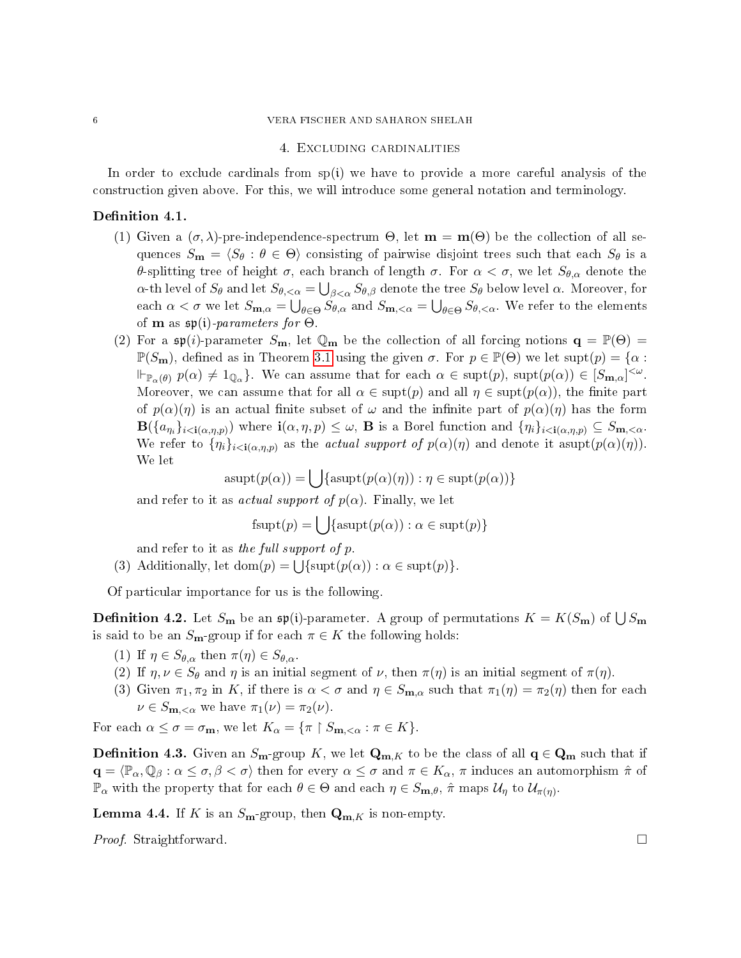#### 6 VERA FISCHER AND SAHARON SHELAH

### 4. Excluding cardinalities

In order to exclude cardinals from sp(i) we have to provide a more careful analysis of the construction given above. For this, we will introduce some general notation and terminology.

### Definition 4.1.

- (1) Given a  $(\sigma, \lambda)$ -pre-independence-spectrum  $\Theta$ , let  $\mathbf{m} = \mathbf{m}(\Theta)$  be the collection of all sequences  $S_{\mathbf{m}} = \langle S_{\theta} : \theta \in \Theta \rangle$  consisting of pairwise disjoint trees such that each  $S_{\theta}$  is a θ-splitting tree of height σ, each branch of length σ. For  $\alpha < \sigma$ , we let  $S_{\theta,\alpha}$  denote the  $\alpha$ -th level of  $S_\theta$  and let  $S_{\theta,<\alpha}=\bigcup_{\beta<\alpha}S_{\theta,\beta}$  denote the tree  $S_\theta$  below level  $\alpha$ . Moreover, for each  $\alpha < \sigma$  we let  $S_{\mathbf{m},\alpha} = \bigcup_{\theta \in \Theta} S_{\theta,\alpha}$  and  $S_{\mathbf{m},<\alpha} = \bigcup_{\theta \in \Theta} S_{\theta,<\alpha}$ . We refer to the elements of **m** as  $\mathfrak{sp}(\mathfrak{i})$ -parameters for  $\Theta$ .
- (2) For a  $\mathfrak{sp}(i)$ -parameter  $S_{\mathbf{m}}$ , let  $\mathbb{Q}_{\mathbf{m}}$  be the collection of all forcing notions  $\mathbf{q} = \mathbb{P}(\Theta)$  $\mathbb{P}(S_{\bf m})$ , defined as in Theorem [3.1](#page-3-1) using the given  $\sigma$ . For  $p \in \mathbb{P}(\Theta)$  we let supt $(p) = \{\alpha :$  $\Vdash_{\mathbb{P}_{\alpha}(\theta)} p(\alpha) \neq 1_{\mathbb{Q}_{\alpha}}\}\.$  We can assume that for each  $\alpha \in \text{supt}(p), \text{ supt}(p(\alpha)) \in [S_{m,\alpha}]^{<\omega}$ . Moreover, we can assume that for all  $\alpha \in \text{supt}(p)$  and all  $\eta \in \text{supt}(p(\alpha))$ , the finite part of  $p(\alpha)(\eta)$  is an actual finite subset of  $\omega$  and the infinite part of  $p(\alpha)(\eta)$  has the form  $\mathbf{B}(\{a_{\eta_i}\}_{i\leq \mathbf{i}(\alpha,\eta,p)})$  where  $\mathbf{i}(\alpha,\eta,p)\leq \omega$ , **B** is a Borel function and  $\{\eta_i\}_{i\leq \mathbf{i}(\alpha,\eta,p)}\subseteq S_{\mathbf{m},\leq \alpha}$ . We refer to  $\{\eta_i\}_{i\leq i(\alpha,\eta,p)}$  as the *actual support of*  $p(\alpha)(\eta)$  and denote it asupt $(p(\alpha)(\eta))$ . We let

$$
asupt(p(\alpha)) = \bigcup \{asupt(p(\alpha)(\eta)) : \eta \in \text{supt}(p(\alpha))\}
$$

and refer to it as *actual support of*  $p(\alpha)$ . Finally, we let

$$
fsupt(p) = \bigcup \{asupt(p(\alpha)) : \alpha \in \text{supt}(p)\}\
$$

and refer to it as the full support of p.

(3) Additionally, let  $dom(p) = \bigcup \{ supt(p(\alpha)) : \alpha \in supt(p) \}.$ 

Of particular importance for us is the following.

**Definition 4.2.** Let  $S_{\bf m}$  be an  $\mathfrak{sp}(\mathfrak{i})$ -parameter. A group of permutations  $K = K(S_{\bf m})$  of  $\bigcup S_{\bf m}$ is said to be an  $S_{\mathbf{m}}$ -group if for each  $\pi \in K$  the following holds:

- (1) If  $\eta \in S_{\theta,\alpha}$  then  $\pi(\eta) \in S_{\theta,\alpha}$ .
- (2) If  $\eta, \nu \in S_\theta$  and  $\eta$  is an initial segment of  $\nu$ , then  $\pi(\eta)$  is an initial segment of  $\pi(\eta)$ .
- (3) Given  $\pi_1, \pi_2$  in K, if there is  $\alpha < \sigma$  and  $\eta \in S_{\mathbf{m}, \alpha}$  such that  $\pi_1(\eta) = \pi_2(\eta)$  then for each  $\nu \in S_{\mathbf{m}, \leq \alpha}$  we have  $\pi_1(\nu) = \pi_2(\nu)$ .

For each  $\alpha \leq \sigma = \sigma_{\mathbf{m}}$ , we let  $K_{\alpha} = {\pi \upharpoonright S_{\mathbf{m}, < \alpha}} : \pi \in K$ .

**Definition 4.3.** Given an  $S_m$ -group K, we let  $\mathbf{Q}_{m,K}$  to be the class of all  $\mathbf{q} \in \mathbf{Q}_m$  such that if  $\mathbf{q} = \langle \mathbb{P}_\alpha, \mathbb{Q}_\beta : \alpha \leq \sigma, \beta < \sigma \rangle$  then for every  $\alpha \leq \sigma$  and  $\pi \in K_\alpha$ ,  $\pi$  induces an automorphism  $\hat{\pi}$  of  $\mathbb{P}_{\alpha}$  with the property that for each  $\theta \in \Theta$  and each  $\eta \in S_{\mathbf{m},\theta}$ ,  $\hat{\pi}$  maps  $\mathcal{U}_{\eta}$  to  $\mathcal{U}_{\pi(\eta)}$ .

**Lemma 4.4.** If K is an  $S_{\mathbf{m}}$ -group, then  $\mathbf{Q}_{\mathbf{m},K}$  is non-empty.

*Proof.* Straightforward.  $\square$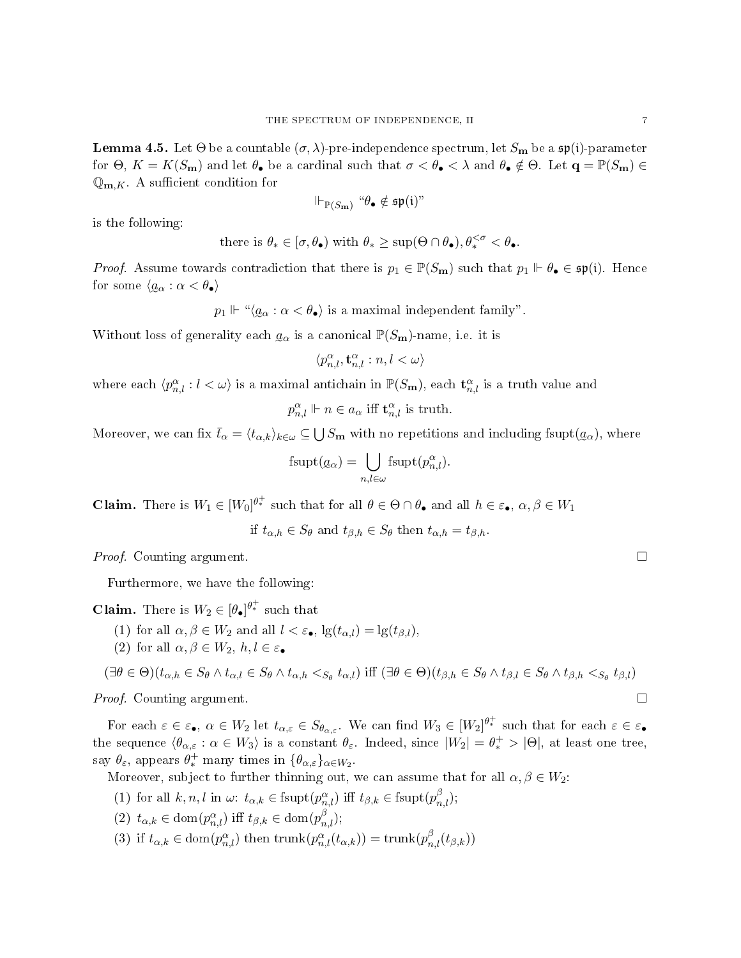<span id="page-6-0"></span>**Lemma 4.5.** Let  $\Theta$  be a countable  $(\sigma, \lambda)$ -pre-independence spectrum, let  $S_m$  be a  $\mathfrak{sp}(i)$ -parameter for  $\Theta, K = K(S_m)$  and let  $\theta_{\bullet}$  be a cardinal such that  $\sigma < \theta_{\bullet} < \lambda$  and  $\theta_{\bullet} \notin \Theta$ . Let  $\mathbf{q} = \mathbb{P}(S_m) \in$  $\mathbb{Q}_{\mathbf{m},K}$ . A sufficient condition for

$$
\Vdash_{\mathbb{P}(S_{\mathbf{m}})} \text{``$\theta$}_\bullet \notin \mathfrak{sp}(\mathfrak{i})\text{''}
$$

is the following:

there is 
$$
\theta_* \in [\sigma, \theta_{\bullet})
$$
 with  $\theta_* \geq \sup(\Theta \cap \theta_{\bullet}), \theta_*^{<\sigma} < \theta_{\bullet}$ .

*Proof.* Assume towards contradiction that there is  $p_1 \in \mathbb{P}(S_m)$  such that  $p_1 \Vdash \theta_{\bullet} \in \mathfrak{sp}(\mathfrak{i})$ . Hence for some  $\langle \varrho_\alpha : \alpha < \theta_\bullet \rangle$ 

 $p_1 \Vdash ``\langle \underline{a}_{\alpha} : \alpha < \theta_{\bullet} \rangle$  is a maximal independent family".

Without loss of generality each  $a_{\alpha}$  is a canonical  $\mathbb{P}(S_{\bf m})$ -name, i.e. it is

$$
\langle p_{n,l}^\alpha, {\bf t}_{n,l}^\alpha : n,l<\omega\rangle
$$

where each  $\langle p_{n,l}^{\alpha}: l < \omega \rangle$  is a maximal antichain in  $\mathbb{P}(S_{\bf m})$ , each  ${\bf t}_{n,l}^{\alpha}$  is a truth value and

$$
p_{n,l}^{\alpha} \Vdash n \in a_{\alpha} \text{ iff } \mathbf{t}_{n,l}^{\alpha} \text{ is truth.}
$$

Moreover, we can fix  $\bar{t}_\alpha = \langle t_{\alpha,k}\rangle_{k\in\omega} \subseteq \bigcup S_\mathbf{m}$  with no repetitions and including fsupt $(a_\alpha)$ , where

$$
fsupt(\underline{a}_{\alpha}) = \bigcup_{n,l \in \omega} fsupt(p^{\alpha}_{n,l}).
$$

**Claim.** There is  $W_1 \in [W_0]^{\theta^+_*}$  such that for all  $\theta \in \Theta \cap \theta_\bullet$  and all  $h \in \varepsilon_\bullet$ ,  $\alpha, \beta \in W_1$ 

if 
$$
t_{\alpha,h} \in S_\theta
$$
 and  $t_{\beta,h} \in S_\theta$  then  $t_{\alpha,h} = t_{\beta,h}$ .

*Proof.* Counting argument.  $\square$ 

Furthermore, we have the following:

**Claim.** There is  $W_2 \in [\theta_{\bullet}]^{\theta_{\ast}^{+}}$  such that

- (1) for all  $\alpha, \beta \in W_2$  and all  $l < \varepsilon_{\bullet}$ ,  $\lg(t_{\alpha,l}) = \lg(t_{\beta,l})$ .
- (2) for all  $\alpha, \beta \in W_2$ ,  $h, l \in \varepsilon_{\bullet}$

$$
(\exists \theta \in \Theta)(t_{\alpha,h} \in S_{\theta} \land t_{\alpha,l} \in S_{\theta} \land t_{\alpha,h} <_{S_{\theta}} t_{\alpha,l}) \text{ iff } (\exists \theta \in \Theta)(t_{\beta,h} \in S_{\theta} \land t_{\beta,l} \in S_{\theta} \land t_{\beta,h} <_{S_{\theta}} t_{\beta,l})
$$

*Proof.* Counting argument.  $\square$ 

For each  $\varepsilon \in \varepsilon_\bullet$ ,  $\alpha \in W_2$  let  $t_{\alpha,\varepsilon} \in S_{\theta_{\alpha,\varepsilon}}$ . We can find  $W_3 \in [W_2]^{\theta_*^+}$  such that for each  $\varepsilon \in \varepsilon_\bullet$ the sequence  $\langle \theta_{\alpha,\varepsilon} : \alpha \in W_3 \rangle$  is a constant  $\theta_{\varepsilon}$ . Indeed, since  $|W_2| = \theta_*^+ > |\Theta|$ , at least one tree, say  $\theta_{\varepsilon}$ , appears  $\theta_{*}^{+}$  many times in  $\{\theta_{\alpha,\varepsilon}\}_{{\alpha \in W_2}}$ .

Moreover, subject to further thinning out, we can assume that for all  $\alpha, \beta \in W_2$ :

(1) for all 
$$
k, n, l
$$
 in  $\omega$ :  $t_{\alpha,k} \in \text{fsupt}(p_{n,l}^{\alpha})$  iff  $t_{\beta,k} \in \text{fsupt}(p_{n,l}^{\beta})$ ;

- (2)  $t_{\alpha,k} \in \text{dom}(p_{n,l}^{\alpha})$  iff  $t_{\beta,k} \in \text{dom}(p_{n,l}^{\beta});$
- (3) if  $t_{\alpha,k} \in \text{dom}(p_{n,l}^{\alpha})$  then  $\text{trunk}(p_{n,l}^{\alpha}(t_{\alpha,k})) = \text{trunk}(p_{n,l}^{\beta}(t_{\beta,k}))$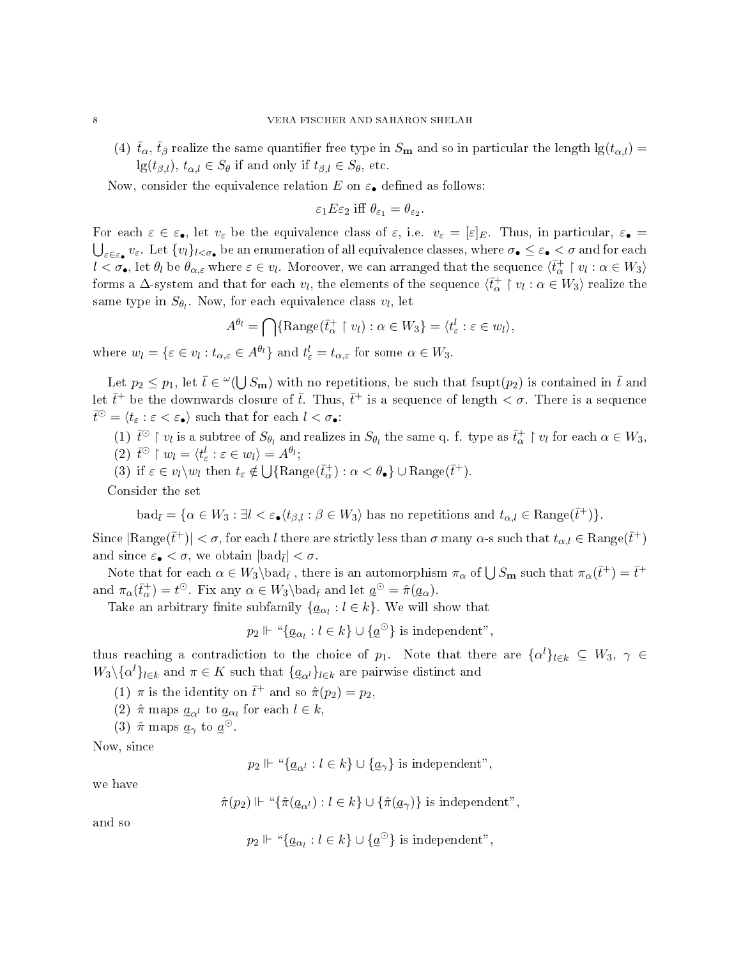(4)  $\bar{t}_{\alpha}$ ,  $\bar{t}_{\beta}$  realize the same quantifier free type in  $S_{\bf m}$  and so in particular the length lg( $t_{\alpha,l}$ ) =  $\lg(t_{\beta,l}), t_{\alpha,l} \in S_{\theta}$  if and only if  $t_{\beta,l} \in S_{\theta}$ , etc.

Now, consider the equivalence relation E on  $\varepsilon_{\bullet}$  defined as follows:

$$
\varepsilon_1 E \varepsilon_2 \text{ iff } \theta_{\varepsilon_1} = \theta_{\varepsilon_2}.
$$

For each  $\varepsilon \in \varepsilon_{\bullet}$ , let  $v_{\varepsilon}$  be the equivalence class of  $\varepsilon$ , i.e.  $v_{\varepsilon} = [\varepsilon]_E$ . Thus, in particular,  $\varepsilon_{\bullet} =$  $\bigcup_{\varepsilon\in\varepsilon_\bullet}v_\varepsilon.$  Let  $\{v_l\}_{l<\sigma_\bullet}$  be an enumeration of all equivalence classes, where  $\sigma_\bullet\leq\varepsilon_\bullet<\sigma$  and for each  $l < \sigma_\bullet$ , let  $\theta_l$  be  $\theta_{\alpha,\varepsilon}$  where  $\varepsilon \in v_l$ . Moreover, we can arranged that the sequence  $\langle \bar{t}_\alpha^+ \restriction v_l : \alpha \in W_3 \rangle$ forms a  $\Delta$ -system and that for each  $v_l,$  the elements of the sequence  $\langle \bar{t}_\alpha^+ \restriction v_l : \alpha \in W_3 \rangle$  realize the same type in  $S_{\theta_l}$ . Now, for each equivalence class  $v_l$ , let

$$
A^{\theta_l} = \bigcap \{ \text{Range}(\bar{t}_{\alpha}^+ \restriction v_l) : \alpha \in W_3 \} = \langle t_{\varepsilon}^l : \varepsilon \in w_l \rangle,
$$

where  $w_l = \{ \varepsilon \in v_l : t_{\alpha,\varepsilon} \in A^{\theta_l} \}$  and  $t_{\varepsilon}^l = t_{\alpha,\varepsilon}$  for some  $\alpha \in W_3$ .

Let  $p_2 \leq p_1$ , let  $\bar{t} \in \omega(\bigcup S_m)$  with no repetitions, be such that fsupt $(p_2)$  is contained in  $\bar{t}$  and let  $\bar{t}^+$  be the downwards closure of  $\bar{t}$ . Thus,  $\bar{t}^+$  is a sequence of length  $\langle \sigma \rangle$ . There is a sequence  $\bar{t}^{\odot} = \langle t_{\varepsilon} : \varepsilon < \varepsilon_{\bullet} \rangle$  such that for each  $l < \sigma_{\bullet}$ :

(1)  $\bar{t}^{\odot} \restriction v_l$  is a subtree of  $S_{\theta_l}$  and realizes in  $S_{\theta_l}$  the same q. f. type as  $\bar{t}^+_{\alpha} \restriction v_l$  for each  $\alpha \in W_3$ ,

- (2)  $\bar{t}^{\odot} \restriction w_l = \langle t_{\varepsilon}^l : \varepsilon \in w_l \rangle = A^{\theta_l};$
- (3) if  $\varepsilon \in v_l \setminus w_l$  then  $t_{\varepsilon} \notin \bigcup \{ \text{Range}(\bar{t}_{\alpha}^+) : \alpha < \theta_{\bullet} \} \cup \text{Range}(\bar{t}^+)$ .

Consider the set

$$
\mathrm{bad}_{\bar{t}} = \{ \alpha \in W_3 : \exists l < \varepsilon_{\bullet} \langle t_{\beta, l} : \beta \in W_3 \rangle \text{ has no repetitions and } t_{\alpha, l} \in \mathrm{Range}(\bar{t}^+) \}.
$$

Since  $|\text{Range}(\bar{t}^+)| < \sigma$ , for each l there are strictly less than  $\sigma$  many  $\alpha$ -s such that  $t_{\alpha,l} \in \text{Range}(\bar{t}^+)$ and since  $\varepsilon_{\bullet} < \sigma$ , we obtain  $|\text{bad}_{\bar{t}}| < \sigma$ .

Note that for each  $\alpha \in W_3\backslash {\rm bad}_{\bar{t}}$  , there is an automorphism  $\pi_\alpha$  of  $\bigcup S_{\bf m}$  such that  $\pi_\alpha(\bar{t}^+) = \bar{t}^+$ and  $\pi_{\alpha}(\bar{t}_{\alpha}^{+})=t^{\odot}$ . Fix any  $\alpha \in W_3 \backslash \mathrm{bad}_{\bar{t}}$  and let  $\underline{a}^{\odot}=\hat{\pi}(\underline{a}_{\alpha})$ .

Take an arbitrary finite subfamily  $\{ \underline{a}_{\alpha_l} : l \in k \}$ . We will show that

$$
p_2 \Vdash ``\{ \underline{a}_{\alpha_l} : l \in k \} \cup \{ \underline{a}^{\odot} \} \text{ is independent''},
$$

thus reaching a contradiction to the choice of  $p_1$ . Note that there are  $\{\alpha^l\}_{l\in k} \subseteq W_3$ ,  $\gamma \in$  $W_3 \setminus {\{\alpha^l\}}_{l \in k}$  and  $\pi \in K$  such that  $\{ \underline{a}_{\alpha^l} \}_{l \in k}$  are pairwise distinct and

- (1)  $\pi$  is the identity on  $\bar{t}^+$  and so  $\hat{\pi}(p_2) = p_2$ ,
- (2)  $\hat{\pi}$  maps  $a_{\alpha l}$  to  $a_{\alpha l}$  for each  $l \in k$ ,
- (3)  $\hat{\pi}$  maps  $\underline{a}_{\gamma}$  to  $\underline{a}^{\odot}$ .

Now, since

 $p_2 \Vdash ``\{ \underline{a}_{\alpha^l} : l \in k \} \cup \{ \underline{a}_{\gamma} \}$  is independent",

we have

$$
\hat{\pi}(p_2) \Vdash ``\{\hat{\pi}(q_{\alpha^l}) : l \in k\} \cup \{\hat{\pi}(q_\gamma)\}\
$$
is independent",

and so

$$
p_2 \Vdash \text{``}\{ \underline{a}_{\alpha_l} : l \in k \} \cup \{ \underline{a}^{\odot} \} \text{ is independent''},
$$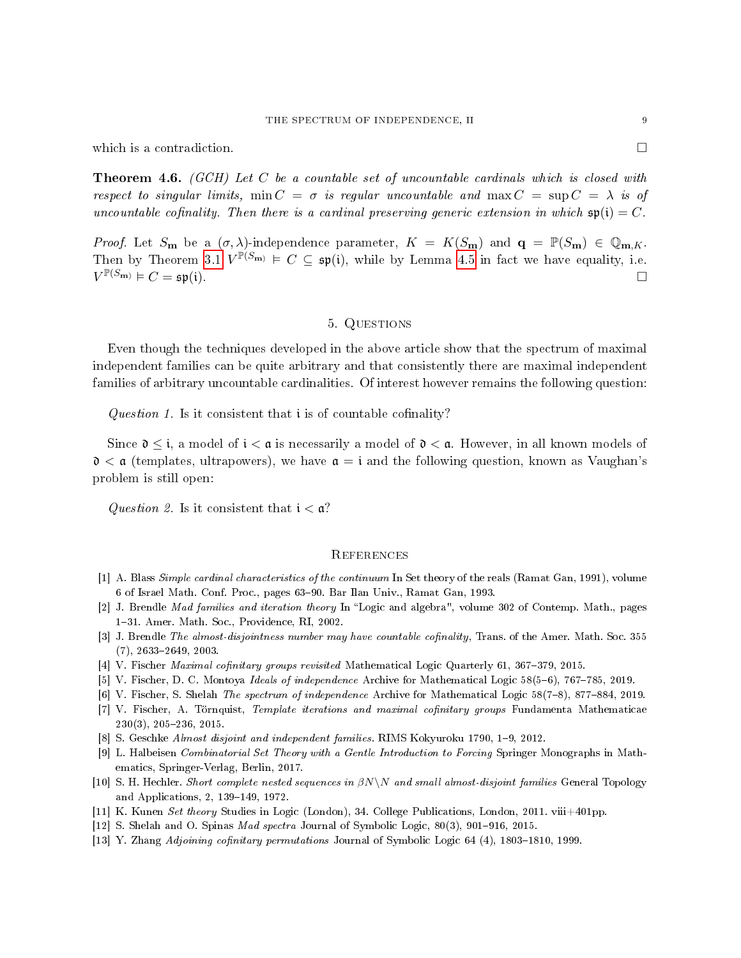which is a contradiction.  $\Box$ 

**Theorem 4.6.** (GCH) Let C be a countable set of uncountable cardinals which is closed with respect to singular limits, min  $C = \sigma$  is regular uncountable and max  $C = \sup C = \lambda$  is of uncountable cofinality. Then there is a cardinal preserving generic extension in which  $\mathfrak{sp}(\mathfrak{i}) = C$ .

*Proof.* Let  $S_m$  be a  $(\sigma, \lambda)$ -independence parameter,  $K = K(S_m)$  and  $\mathbf{q} = \mathbb{P}(S_m) \in \mathbb{Q}_{m,K}$ . Then by Theorem [3.1](#page-3-1)  $V^{\mathbb{P}(S_{\mathbf{m}})} \models C \subseteq \mathfrak{sp}(\mathfrak{i})$ , while by Lemma [4.5](#page-6-0) in fact we have equality, i.e.  $V^{\mathbb{P}(S_{\mathbf{m}})} \models C = \mathfrak{sp}(\mathfrak{i}).$ 

## 5. Questions

Even though the techniques developed in the above article show that the spectrum of maximal independent families can be quite arbitrary and that consistently there are maximal independent families of arbitrary uncountable cardinalities. Of interest however remains the following question:

Question 1. Is it consistent that  $\mathfrak i$  is of countable cofinality?

Since  $\mathfrak{d} \leq \mathfrak{i}$ , a model of  $\mathfrak{i} < \mathfrak{a}$  is necessarily a model of  $\mathfrak{d} < \mathfrak{a}$ . However, in all known models of  $\mathfrak{d} < \mathfrak{a}$  (templates, ultrapowers), we have  $\mathfrak{a} = \mathfrak{i}$  and the following question, known as Vaughan's problem is still open:

Question 2. Is it consistent that  $i < \alpha$ ?

#### **REFERENCES**

- <span id="page-8-1"></span>[1] A. Blass Simple cardinal characteristics of the continuum In Set theory of the reals (Ramat Gan, 1991), volume 6 of Israel Math. Conf. Proc., pages 63-90. Bar Ilan Univ., Ramat Gan, 1993.
- <span id="page-8-2"></span>[2] J. Brendle *Mad families and iteration theory* In "Logic and algebra", volume 302 of Contemp. Math., pages 131. Amer. Math. Soc., Providence, RI, 2002.
- <span id="page-8-8"></span>[3] J. Brendle The almost-disjointness number may have countable cofinality, Trans. of the Amer. Math. Soc. 355  $(7), 2633 - 2649, 2003.$
- <span id="page-8-4"></span>[4] V. Fischer Maximal cofinitary groups revisited Mathematical Logic Quarterly 61, 367-379, 2015.
- <span id="page-8-11"></span>[5] V. Fischer, D. C. Montoya *Ideals of independence* Archive for Mathematical Logic 58(5–6), 767–785, 2019.
- <span id="page-8-7"></span>[6] V. Fischer, S. Shelah The spectrum of independence Archive for Mathematical Logic 58(7–8), 877–884, 2019.
- <span id="page-8-10"></span>[7] V. Fischer, A. Törnquist, Template iterations and maximal cofinitary groups Fundamenta Mathematicae  $230(3)$ ,  $205-236$ ,  $2015$ .
- <span id="page-8-5"></span>[8] S. Geschke Almost disjoint and independent families. RIMS Kokyuroku 1790, 1-9, 2012.
- <span id="page-8-6"></span>[9] L. Halbeisen Combinatorial Set Theory with a Gentle Introduction to Forcing Springer Monographs in Mathematics, Springer-Verlag, Berlin, 2017.
- <span id="page-8-0"></span>[10] S. H. Hechler. Short complete nested sequences in  $\beta N\backslash N$  and small almost-disjoint families General Topology and Applications, 2, 139-149, 1972.
- <span id="page-8-12"></span>[11] K. Kunen Set theory Studies in Logic (London), 34. College Publications, London, 2011. viii+401pp.
- <span id="page-8-3"></span>[12] S. Shelah and O. Spinas *Mad spectra* Journal of Symbolic Logic, 80(3), 901–916, 2015.
- <span id="page-8-9"></span>[13] Y. Zhang Adjoining cofinitary permutations Journal of Symbolic Logic  $64$  (4), 1803–1810, 1999.